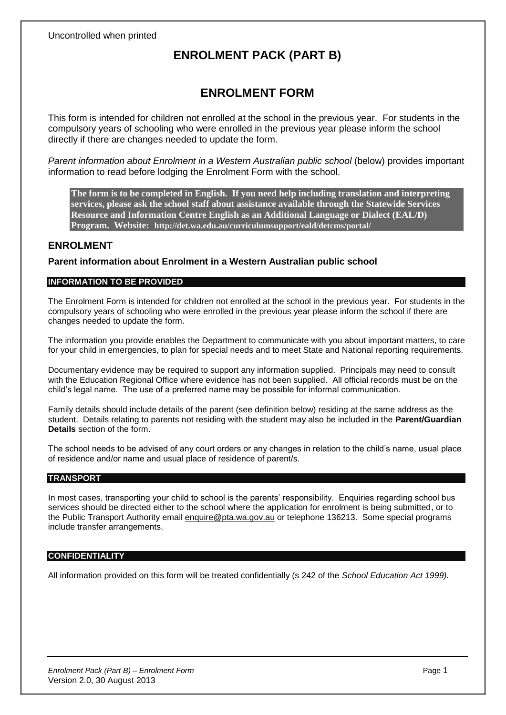# **ENROLMENT PACK (PART B)**

# **ENROLMENT FORM**

This form is intended for children not enrolled at the school in the previous year. For students in the compulsory years of schooling who were enrolled in the previous year please inform the school directly if there are changes needed to update the form.

*Parent information about Enrolment in a Western Australian public school* (below) provides important information to read before lodging the Enrolment Form with the school.

**The form is to be completed in English. If you need help including translation and interpreting services, please ask the school staff about assistance available through the Statewide Services Resource and Information Centre English as an Additional Language or Dialect (EAL/D) Program. Website: http://det.wa.edu.au/curriculumsupport/eald/detcms/portal/**

## **ENROLMENT**

**Parent information about Enrolment in a Western Australian public school**

## **INFORMATION TO BE PROVIDED**

The Enrolment Form is intended for children not enrolled at the school in the previous year. For students in the compulsory years of schooling who were enrolled in the previous year please inform the school if there are changes needed to update the form.

The information you provide enables the Department to communicate with you about important matters, to care for your child in emergencies, to plan for special needs and to meet State and National reporting requirements.

Documentary evidence may be required to support any information supplied. Principals may need to consult with the Education Regional Office where evidence has not been supplied. All official records must be on the child's legal name. The use of a preferred name may be possible for informal communication.

Family details should include details of the parent (see definition below) residing at the same address as the student. Details relating to parents not residing with the student may also be included in the **Parent/Guardian Details** section of the form.

The school needs to be advised of any court orders or any changes in relation to the child's name, usual place of residence and/or name and usual place of residence of parent/s.

### **TRANSPORT**

In most cases, transporting your child to school is the parents' responsibility. Enquiries regarding school bus services should be directed either to the school where the application for enrolment is being submitted, or to the Public Transport Authority email enquire@pta.wa.gov.au or telephone 136213. Some special programs include transfer arrangements.

## **CONFIDENTIALITY**

All information provided on this form will be treated confidentially (s 242 of the *School Education Act 1999).*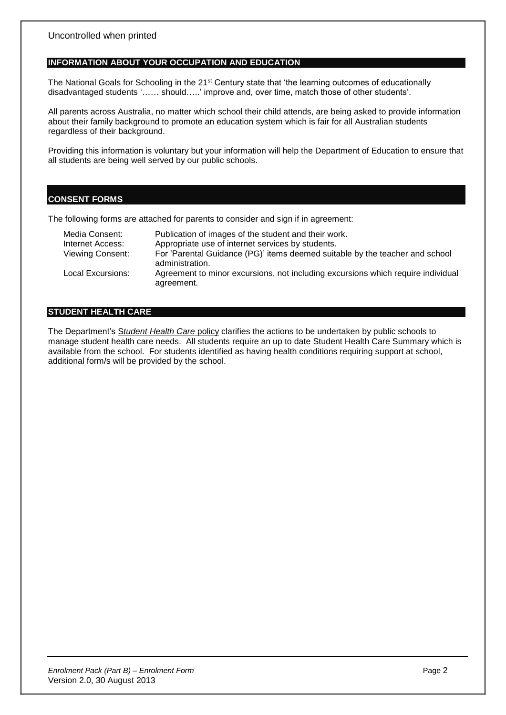### **INFORMATION ABOUT YOUR OCCUPATION AND EDUCATION**

The National Goals for Schooling in the 21<sup>st</sup> Century state that 'the learning outcomes of educationally disadvantaged students '…… should…..' improve and, over time, match those of other students'.

All parents across Australia, no matter which school their child attends, are being asked to provide information about their family background to promote an education system which is fair for all Australian students regardless of their background.

Providing this information is voluntary but your information will help the Department of Education to ensure that all students are being well served by our public schools.

## **CONSENT FORMS**

The following forms are attached for parents to consider and sign if in agreement:

| Media Consent:          | Publication of images of the student and their work.                                            |
|-------------------------|-------------------------------------------------------------------------------------------------|
| Internet Access:        | Appropriate use of internet services by students.                                               |
| <b>Viewing Consent:</b> | For 'Parental Guidance (PG)' items deemed suitable by the teacher and school<br>administration. |
| Local Excursions:       | Agreement to minor excursions, not including excursions which require individual<br>agreement.  |

## **STUDENT HEALTH CARE**

The Department's S*tudent Health Care* policy clarifies the actions to be undertaken by public schools to manage student health care needs. All students require an up to date Student Health Care Summary which is available from the school. For students identified as having health conditions requiring support at school, additional form/s will be provided by the school.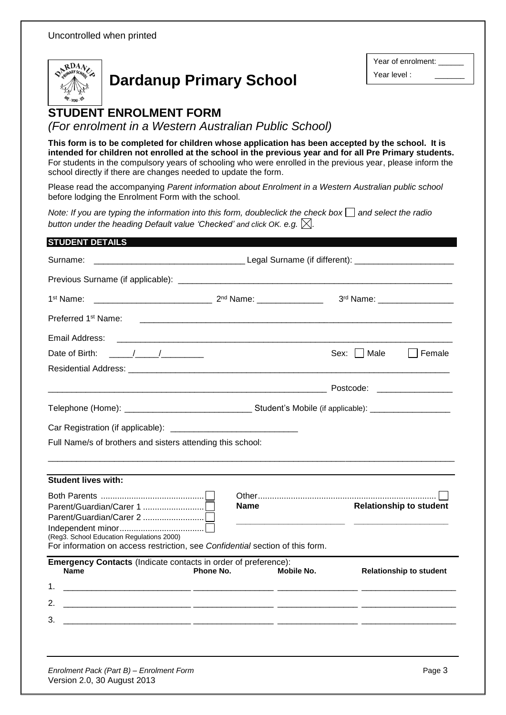

# **Dardanup Primary School**

Year of enrolment: Year level :

# **STUDENT ENROLMENT FORM (optional)**

*(For enrolment in a Western Australian Public School)*

**This form is to be completed for children whose application has been accepted by the school. It is intended for children not enrolled at the school in the previous year and for all Pre Primary students.** For students in the compulsory years of schooling who were enrolled in the previous year, please inform the school directly if there are changes needed to update the form.

Please read the accompanying *Parent information about Enrolment in a Western Australian public school* before lodging the Enrolment Form with the school.

*Note: If you are typing the information into this form, doubleclick the check box*  $\Box$  and select the radio *button under the heading Default value 'Checked' and click OK. e.g. .*

| <b>STUDENT DETAILS</b>                                                                                                                                                                                                                                                                                                                                                                                                                            |             |            |             |                                |
|---------------------------------------------------------------------------------------------------------------------------------------------------------------------------------------------------------------------------------------------------------------------------------------------------------------------------------------------------------------------------------------------------------------------------------------------------|-------------|------------|-------------|--------------------------------|
| Surname:                                                                                                                                                                                                                                                                                                                                                                                                                                          |             |            |             |                                |
|                                                                                                                                                                                                                                                                                                                                                                                                                                                   |             |            |             |                                |
| 1 <sup>st</sup> Name:                                                                                                                                                                                                                                                                                                                                                                                                                             |             |            |             | 3rd Name: ___________________  |
| Preferred 1 <sup>st</sup> Name:                                                                                                                                                                                                                                                                                                                                                                                                                   |             |            |             |                                |
| Email Address:                                                                                                                                                                                                                                                                                                                                                                                                                                    |             |            |             |                                |
| $\frac{1}{\sqrt{1-\frac{1}{2}}}\frac{1}{\sqrt{1-\frac{1}{2}}}\frac{1}{\sqrt{1-\frac{1}{2}}}\frac{1}{\sqrt{1-\frac{1}{2}}}\frac{1}{\sqrt{1-\frac{1}{2}}}\frac{1}{\sqrt{1-\frac{1}{2}}}\frac{1}{\sqrt{1-\frac{1}{2}}}\frac{1}{\sqrt{1-\frac{1}{2}}}\frac{1}{\sqrt{1-\frac{1}{2}}}\frac{1}{\sqrt{1-\frac{1}{2}}}\frac{1}{\sqrt{1-\frac{1}{2}}}\frac{1}{\sqrt{1-\frac{1}{2}}}\frac{1}{\sqrt{1-\frac{1}{2}}}\frac{1}{\sqrt{1-\frac{$<br>Date of Birth: |             |            | Sex:   Male | Female                         |
|                                                                                                                                                                                                                                                                                                                                                                                                                                                   |             |            |             |                                |
|                                                                                                                                                                                                                                                                                                                                                                                                                                                   |             |            |             |                                |
|                                                                                                                                                                                                                                                                                                                                                                                                                                                   |             |            |             |                                |
|                                                                                                                                                                                                                                                                                                                                                                                                                                                   |             |            |             |                                |
| Full Name/s of brothers and sisters attending this school:                                                                                                                                                                                                                                                                                                                                                                                        |             |            |             |                                |
|                                                                                                                                                                                                                                                                                                                                                                                                                                                   |             |            |             |                                |
| <b>Student lives with:</b>                                                                                                                                                                                                                                                                                                                                                                                                                        |             |            |             |                                |
|                                                                                                                                                                                                                                                                                                                                                                                                                                                   |             |            |             |                                |
|                                                                                                                                                                                                                                                                                                                                                                                                                                                   | <b>Name</b> |            |             | <b>Relationship to student</b> |
|                                                                                                                                                                                                                                                                                                                                                                                                                                                   |             |            |             |                                |
| (Reg3. School Education Regulations 2000)                                                                                                                                                                                                                                                                                                                                                                                                         |             |            |             |                                |
| For information on access restriction, see Confidential section of this form.                                                                                                                                                                                                                                                                                                                                                                     |             |            |             |                                |
| <b>Emergency Contacts</b> (Indicate contacts in order of preference):<br><b>Name</b>                                                                                                                                                                                                                                                                                                                                                              | Phone No.   | Mobile No. |             | <b>Relationship to student</b> |
| 1.                                                                                                                                                                                                                                                                                                                                                                                                                                                |             |            |             |                                |
|                                                                                                                                                                                                                                                                                                                                                                                                                                                   |             |            |             |                                |
| 3.<br><u> 2000 - Andreas Andreas Andreas Andreas Andreas Andreas Andreas Andreas Andreas Andreas Andreas Andreas Andre</u>                                                                                                                                                                                                                                                                                                                        |             |            |             |                                |
|                                                                                                                                                                                                                                                                                                                                                                                                                                                   |             |            |             |                                |
|                                                                                                                                                                                                                                                                                                                                                                                                                                                   |             |            |             |                                |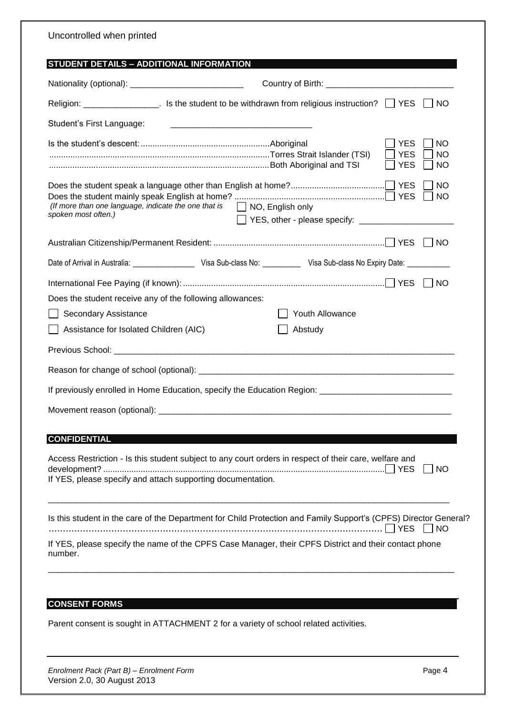| Uncontrolled when printed                                                                                                                                                                                                      |
|--------------------------------------------------------------------------------------------------------------------------------------------------------------------------------------------------------------------------------|
| STUDENT DETAILS - ADDITIONAL INFORMATION                                                                                                                                                                                       |
| Country of Birth: <u>_____________________________</u>                                                                                                                                                                         |
| <b>NO</b>                                                                                                                                                                                                                      |
| Student's First Language:                                                                                                                                                                                                      |
| <b>YES</b><br><b>NO</b><br><b>YES</b><br>NO<br><b>YES</b><br>NO                                                                                                                                                                |
| <b>NO</b><br><b>NO</b><br>(If more than one language, indicate the one that is<br>$\Box$ NO, English only<br>spoken most often.)                                                                                               |
| $\overline{\phantom{0}}$ NO                                                                                                                                                                                                    |
| Date of Arrival in Australia: ________________________ Visa Sub-class No: ______________ Visa Sub-class No Expiry Date: _____________                                                                                          |
|                                                                                                                                                                                                                                |
| Does the student receive any of the following allowances:                                                                                                                                                                      |
| <b>Youth Allowance</b><br>Secondary Assistance                                                                                                                                                                                 |
| Assistance for Isolated Children (AIC)<br>Abstudy                                                                                                                                                                              |
| Previous School: enterprise the control of the control of the control of the control of the control of the control of the control of the control of the control of the control of the control of the control of the control of |
|                                                                                                                                                                                                                                |
| If previously enrolled in Home Education, specify the Education Region: ____________________________                                                                                                                           |
|                                                                                                                                                                                                                                |
|                                                                                                                                                                                                                                |
| <b>CONFIDENTIAL</b>                                                                                                                                                                                                            |
| Access Restriction - Is this student subject to any court orders in respect of their care, welfare and<br><b>NO</b><br>If YES, please specify and attach supporting documentation.                                             |
| Is this student in the care of the Department for Child Protection and Family Support's (CPFS) Director General?<br><b>YES</b><br><b>NO</b>                                                                                    |
| If YES, please specify the name of the CPFS Case Manager, their CPFS District and their contact phone<br>number.                                                                                                               |
|                                                                                                                                                                                                                                |
| <b>CONSENT FORMS</b>                                                                                                                                                                                                           |
| Parent consent is sought in ATTACHMENT 2 for a variety of school related activities.                                                                                                                                           |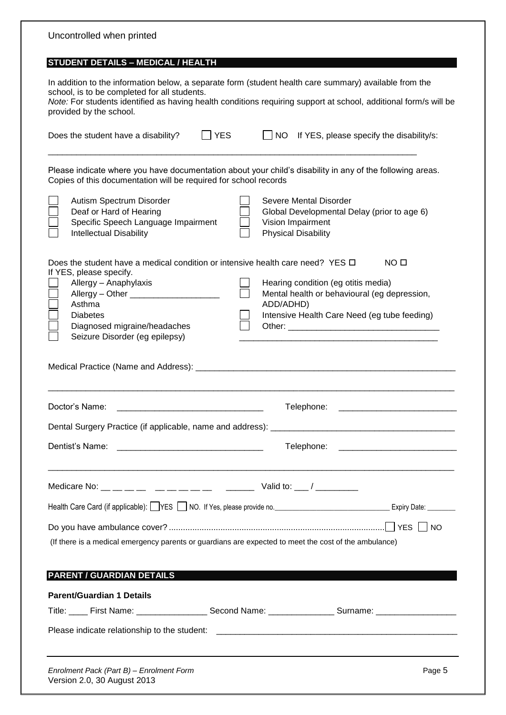| Uncontrolled when printed                                                                                                                                                                                                              |                                                                                                                                                                                                                            |
|----------------------------------------------------------------------------------------------------------------------------------------------------------------------------------------------------------------------------------------|----------------------------------------------------------------------------------------------------------------------------------------------------------------------------------------------------------------------------|
| <b>STUDENT DETAILS - MEDICAL / HEALTH</b>                                                                                                                                                                                              |                                                                                                                                                                                                                            |
| school, is to be completed for all students.<br>provided by the school.                                                                                                                                                                | In addition to the information below, a separate form (student health care summary) available from the<br>Note: For students identified as having health conditions requiring support at school, additional form/s will be |
| <b>YES</b><br>Does the student have a disability?                                                                                                                                                                                      | <b>NO</b><br>If YES, please specify the disability/s:                                                                                                                                                                      |
| Copies of this documentation will be required for school records                                                                                                                                                                       | Please indicate where you have documentation about your child's disability in any of the following areas.                                                                                                                  |
| Autism Spectrum Disorder<br>Deaf or Hard of Hearing<br>Specific Speech Language Impairment<br><b>Intellectual Disability</b>                                                                                                           | Severe Mental Disorder<br>Global Developmental Delay (prior to age 6)<br>Vision Impairment<br><b>Physical Disability</b>                                                                                                   |
| Does the student have a medical condition or intensive health care need? YES $\Box$<br>If YES, please specify.<br>Allergy - Anaphylaxis<br>Asthma<br><b>Diabetes</b><br>Diagnosed migraine/headaches<br>Seizure Disorder (eg epilepsy) | NO <sub>0</sub><br>Hearing condition (eg otitis media)<br>Mental health or behavioural (eg depression,<br>ADD/ADHD)<br>Intensive Health Care Need (eg tube feeding)                                                        |
|                                                                                                                                                                                                                                        |                                                                                                                                                                                                                            |
| Doctor's Name:                                                                                                                                                                                                                         | Telephone:                                                                                                                                                                                                                 |
|                                                                                                                                                                                                                                        |                                                                                                                                                                                                                            |
| Dentist's Name:                                                                                                                                                                                                                        | Telephone: ________________________________                                                                                                                                                                                |
| Medicare No: __ __ __ __ __ __ __ __ __ __ Valid to: __ / ________                                                                                                                                                                     |                                                                                                                                                                                                                            |
|                                                                                                                                                                                                                                        | Health Care Card (if applicable): VES NO. If Yes, please provide no. 1998 10. [1] Expiry Date: 1998.                                                                                                                       |
| (If there is a medical emergency parents or guardians are expected to meet the cost of the ambulance)                                                                                                                                  |                                                                                                                                                                                                                            |
| <b>PARENT / GUARDIAN DETAILS</b>                                                                                                                                                                                                       |                                                                                                                                                                                                                            |
| <b>Parent/Guardian 1 Details</b>                                                                                                                                                                                                       |                                                                                                                                                                                                                            |
|                                                                                                                                                                                                                                        | Title: ____ First Name: ___________________ Second Name: __________________ Surname: ____________________                                                                                                                  |
|                                                                                                                                                                                                                                        |                                                                                                                                                                                                                            |
| Enrolment Pack (Part B) - Enrolment Form<br>Version 2.0, 30 August 2013                                                                                                                                                                | Page 5                                                                                                                                                                                                                     |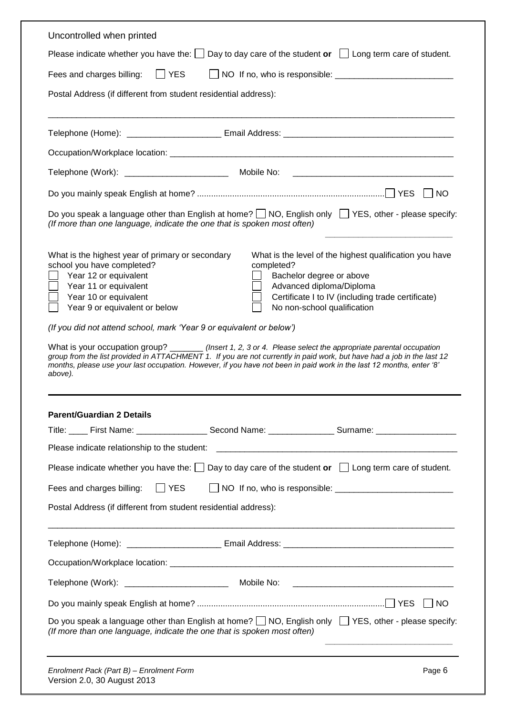| Uncontrolled when printed                                                                                                                                                                                                                                                                                                                                                                                                                                                                                                                                                                                                                                                                                                                                                                                                                                               |  |  |  |  |
|-------------------------------------------------------------------------------------------------------------------------------------------------------------------------------------------------------------------------------------------------------------------------------------------------------------------------------------------------------------------------------------------------------------------------------------------------------------------------------------------------------------------------------------------------------------------------------------------------------------------------------------------------------------------------------------------------------------------------------------------------------------------------------------------------------------------------------------------------------------------------|--|--|--|--|
| Please indicate whether you have the: $\Box$ Day to day care of the student or $\Box$ Long term care of student.                                                                                                                                                                                                                                                                                                                                                                                                                                                                                                                                                                                                                                                                                                                                                        |  |  |  |  |
| Fees and charges billing: TYES                                                                                                                                                                                                                                                                                                                                                                                                                                                                                                                                                                                                                                                                                                                                                                                                                                          |  |  |  |  |
| Postal Address (if different from student residential address):                                                                                                                                                                                                                                                                                                                                                                                                                                                                                                                                                                                                                                                                                                                                                                                                         |  |  |  |  |
|                                                                                                                                                                                                                                                                                                                                                                                                                                                                                                                                                                                                                                                                                                                                                                                                                                                                         |  |  |  |  |
|                                                                                                                                                                                                                                                                                                                                                                                                                                                                                                                                                                                                                                                                                                                                                                                                                                                                         |  |  |  |  |
|                                                                                                                                                                                                                                                                                                                                                                                                                                                                                                                                                                                                                                                                                                                                                                                                                                                                         |  |  |  |  |
|                                                                                                                                                                                                                                                                                                                                                                                                                                                                                                                                                                                                                                                                                                                                                                                                                                                                         |  |  |  |  |
|                                                                                                                                                                                                                                                                                                                                                                                                                                                                                                                                                                                                                                                                                                                                                                                                                                                                         |  |  |  |  |
| Do you speak a language other than English at home? $\Box$ NO, English only $\Box$ YES, other - please specify:<br>(If more than one language, indicate the one that is spoken most often)                                                                                                                                                                                                                                                                                                                                                                                                                                                                                                                                                                                                                                                                              |  |  |  |  |
| What is the highest year of primary or secondary<br>What is the level of the highest qualification you have<br>school you have completed?<br>completed?<br>Year 12 or equivalent<br>Bachelor degree or above<br>Year 11 or equivalent<br>Advanced diploma/Diploma<br>Year 10 or equivalent<br>Certificate I to IV (including trade certificate)<br>Year 9 or equivalent or below<br>No non-school qualification<br>(If you did not attend school, mark 'Year 9 or equivalent or below')<br>What is your occupation group? ________ (Insert 1, 2, 3 or 4. Please select the appropriate parental occupation<br>group from the list provided in ATTACHMENT 1. If you are not currently in paid work, but have had a job in the last 12<br>months, please use your last occupation. However, if you have not been in paid work in the last 12 months, enter '8'<br>above). |  |  |  |  |
| <b>Parent/Guardian 2 Details</b>                                                                                                                                                                                                                                                                                                                                                                                                                                                                                                                                                                                                                                                                                                                                                                                                                                        |  |  |  |  |
| Title: ____ First Name: ___________________ Second Name: _________________ Surname: _____________________                                                                                                                                                                                                                                                                                                                                                                                                                                                                                                                                                                                                                                                                                                                                                               |  |  |  |  |
| Please indicate relationship to the student:                                                                                                                                                                                                                                                                                                                                                                                                                                                                                                                                                                                                                                                                                                                                                                                                                            |  |  |  |  |
| Please indicate whether you have the: $\Box$ Day to day care of the student or $\Box$ Long term care of student.                                                                                                                                                                                                                                                                                                                                                                                                                                                                                                                                                                                                                                                                                                                                                        |  |  |  |  |
| YES<br>Fees and charges billing:                                                                                                                                                                                                                                                                                                                                                                                                                                                                                                                                                                                                                                                                                                                                                                                                                                        |  |  |  |  |
| Postal Address (if different from student residential address):                                                                                                                                                                                                                                                                                                                                                                                                                                                                                                                                                                                                                                                                                                                                                                                                         |  |  |  |  |
|                                                                                                                                                                                                                                                                                                                                                                                                                                                                                                                                                                                                                                                                                                                                                                                                                                                                         |  |  |  |  |
|                                                                                                                                                                                                                                                                                                                                                                                                                                                                                                                                                                                                                                                                                                                                                                                                                                                                         |  |  |  |  |
|                                                                                                                                                                                                                                                                                                                                                                                                                                                                                                                                                                                                                                                                                                                                                                                                                                                                         |  |  |  |  |
|                                                                                                                                                                                                                                                                                                                                                                                                                                                                                                                                                                                                                                                                                                                                                                                                                                                                         |  |  |  |  |
| Do you speak a language other than English at home? $\Box$ NO, English only $\Box$ YES, other - please specify:<br>(If more than one language, indicate the one that is spoken most often)                                                                                                                                                                                                                                                                                                                                                                                                                                                                                                                                                                                                                                                                              |  |  |  |  |
| Enrolment Pack (Part B) - Enrolment Form<br>Page 6<br>Version 2.0, 30 August 2013                                                                                                                                                                                                                                                                                                                                                                                                                                                                                                                                                                                                                                                                                                                                                                                       |  |  |  |  |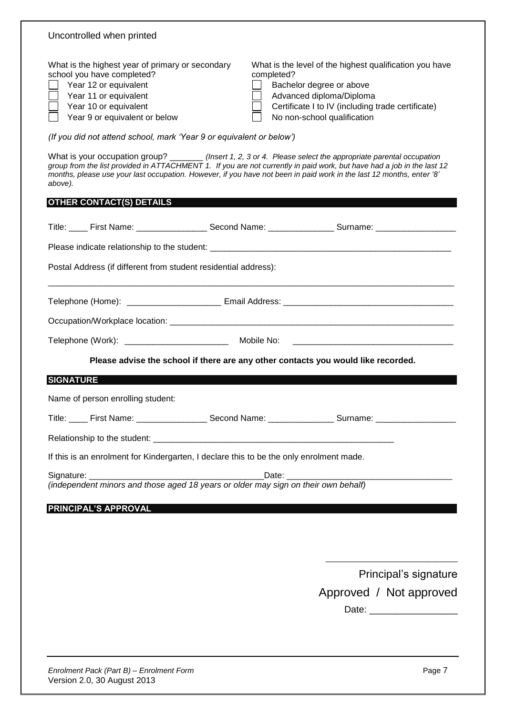| Uncontrolled when printed                                                                                                                                                                                                                                                                                                                                                    |  |                                                                                                                                                                                                                   |  |
|------------------------------------------------------------------------------------------------------------------------------------------------------------------------------------------------------------------------------------------------------------------------------------------------------------------------------------------------------------------------------|--|-------------------------------------------------------------------------------------------------------------------------------------------------------------------------------------------------------------------|--|
| What is the highest year of primary or secondary<br>school you have completed?<br>Year 12 or equivalent<br>Year 11 or equivalent<br>Year 10 or equivalent<br>Year 9 or equivalent or below                                                                                                                                                                                   |  | What is the level of the highest qualification you have<br>completed?<br>Bachelor degree or above<br>Advanced diploma/Diploma<br>Certificate I to IV (including trade certificate)<br>No non-school qualification |  |
| (If you did not attend school, mark 'Year 9 or equivalent or below')                                                                                                                                                                                                                                                                                                         |  |                                                                                                                                                                                                                   |  |
| What is your occupation group? ________ (Insert 1, 2, 3 or 4. Please select the appropriate parental occupation<br>group from the list provided in ATTACHMENT 1. If you are not currently in paid work, but have had a job in the last 12<br>months, please use your last occupation. However, if you have not been in paid work in the last 12 months, enter '8'<br>above). |  |                                                                                                                                                                                                                   |  |
| <b>OTHER CONTACT(S) DETAILS</b>                                                                                                                                                                                                                                                                                                                                              |  |                                                                                                                                                                                                                   |  |
|                                                                                                                                                                                                                                                                                                                                                                              |  | Title: _____ First Name: ______________________ Second Name: ___________________ Surname: ____________________                                                                                                    |  |
|                                                                                                                                                                                                                                                                                                                                                                              |  |                                                                                                                                                                                                                   |  |
| Postal Address (if different from student residential address):                                                                                                                                                                                                                                                                                                              |  |                                                                                                                                                                                                                   |  |
|                                                                                                                                                                                                                                                                                                                                                                              |  |                                                                                                                                                                                                                   |  |
|                                                                                                                                                                                                                                                                                                                                                                              |  |                                                                                                                                                                                                                   |  |
|                                                                                                                                                                                                                                                                                                                                                                              |  |                                                                                                                                                                                                                   |  |
|                                                                                                                                                                                                                                                                                                                                                                              |  |                                                                                                                                                                                                                   |  |
|                                                                                                                                                                                                                                                                                                                                                                              |  | Please advise the school if there are any other contacts you would like recorded.                                                                                                                                 |  |
| <b>SIGNATURE</b>                                                                                                                                                                                                                                                                                                                                                             |  |                                                                                                                                                                                                                   |  |
| Name of person enrolling student:                                                                                                                                                                                                                                                                                                                                            |  |                                                                                                                                                                                                                   |  |
|                                                                                                                                                                                                                                                                                                                                                                              |  | Title: ____ First Name: _____________________ Second Name: _________________ Surname: ________________________                                                                                                    |  |
|                                                                                                                                                                                                                                                                                                                                                                              |  |                                                                                                                                                                                                                   |  |
| If this is an enrolment for Kindergarten, I declare this to be the only enrolment made.                                                                                                                                                                                                                                                                                      |  |                                                                                                                                                                                                                   |  |
|                                                                                                                                                                                                                                                                                                                                                                              |  |                                                                                                                                                                                                                   |  |
|                                                                                                                                                                                                                                                                                                                                                                              |  |                                                                                                                                                                                                                   |  |
| <b>PRINCIPAL'S APPROVAL</b>                                                                                                                                                                                                                                                                                                                                                  |  |                                                                                                                                                                                                                   |  |
|                                                                                                                                                                                                                                                                                                                                                                              |  |                                                                                                                                                                                                                   |  |
|                                                                                                                                                                                                                                                                                                                                                                              |  |                                                                                                                                                                                                                   |  |
|                                                                                                                                                                                                                                                                                                                                                                              |  | Principal's signature                                                                                                                                                                                             |  |
|                                                                                                                                                                                                                                                                                                                                                                              |  | Approved / Not approved                                                                                                                                                                                           |  |
|                                                                                                                                                                                                                                                                                                                                                                              |  |                                                                                                                                                                                                                   |  |
|                                                                                                                                                                                                                                                                                                                                                                              |  |                                                                                                                                                                                                                   |  |
|                                                                                                                                                                                                                                                                                                                                                                              |  |                                                                                                                                                                                                                   |  |
|                                                                                                                                                                                                                                                                                                                                                                              |  |                                                                                                                                                                                                                   |  |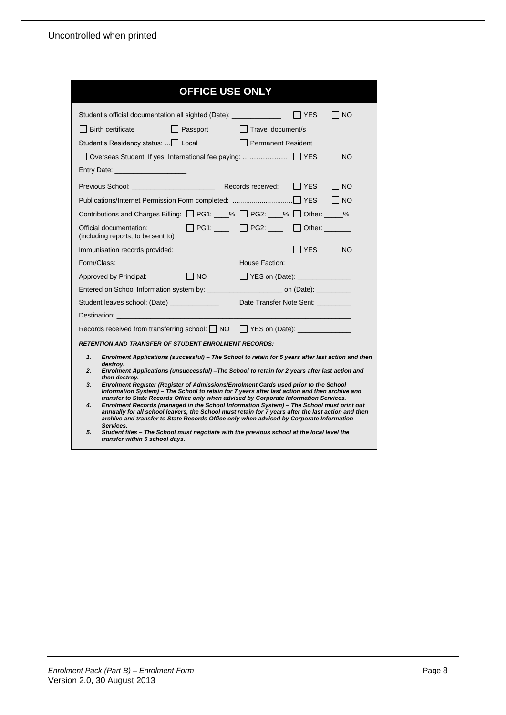| <b>OFFICE USE ONLY</b>                                                                                                                                                                                                                                                                                                                                                                                |                            |                                                            |                      |       |
|-------------------------------------------------------------------------------------------------------------------------------------------------------------------------------------------------------------------------------------------------------------------------------------------------------------------------------------------------------------------------------------------------------|----------------------------|------------------------------------------------------------|----------------------|-------|
| Student's official documentation all sighted (Date): ________________                                                                                                                                                                                                                                                                                                                                 |                            |                                                            | $\Box$ YES           | NO    |
| $\Box$ Birth certificate                                                                                                                                                                                                                                                                                                                                                                              | Passport Travel document/s |                                                            |                      |       |
| Student's Residency status:    Local Permanent Resident                                                                                                                                                                                                                                                                                                                                               |                            |                                                            |                      |       |
| □ Overseas Student: If yes, International fee paying:  □ YES                                                                                                                                                                                                                                                                                                                                          |                            |                                                            |                      | NO    |
| Entry Date: The Contract of the Contract of the Contract of the Contract of the Contract of the Contract of the                                                                                                                                                                                                                                                                                       |                            |                                                            |                      |       |
| Previous School: Records received:                                                                                                                                                                                                                                                                                                                                                                    |                            |                                                            | IIYES I              | I INO |
|                                                                                                                                                                                                                                                                                                                                                                                                       |                            |                                                            |                      | I INO |
| Contributions and Charges Billing: □ PG1: ___% □ PG2: ___% □ Other: ____%                                                                                                                                                                                                                                                                                                                             |                            |                                                            |                      |       |
| Official documentation:<br>(including reports, to be sent to)                                                                                                                                                                                                                                                                                                                                         |                            | $\Box$ PG1: $\Box$ $\Box$ PG2: $\Box$ $\Box$ Other: $\Box$ |                      |       |
| Immunisation records provided:                                                                                                                                                                                                                                                                                                                                                                        |                            |                                                            | $\Box$ YES $\Box$ NO |       |
| Form/Class: _________________________                                                                                                                                                                                                                                                                                                                                                                 |                            | House Faction: __________________                          |                      |       |
| Approved by Principal:                                                                                                                                                                                                                                                                                                                                                                                | $\Box$ NO                  | □ YES on (Date): _______________                           |                      |       |
| Entered on School Information system by: __________________________ on (Date): __________                                                                                                                                                                                                                                                                                                             |                            |                                                            |                      |       |
| Student leaves school: (Date) _____________                                                                                                                                                                                                                                                                                                                                                           |                            | Date Transfer Note Sent:                                   |                      |       |
|                                                                                                                                                                                                                                                                                                                                                                                                       |                            |                                                            |                      |       |
| Records received from transferring school: □ NO □ YES on (Date): ______________                                                                                                                                                                                                                                                                                                                       |                            |                                                            |                      |       |
| <b>RETENTION AND TRANSFER OF STUDENT ENROLMENT RECORDS:</b>                                                                                                                                                                                                                                                                                                                                           |                            |                                                            |                      |       |
| Enrolment Applications (successful) – The School to retain for 5 years after last action and then<br>1.<br>destroy.                                                                                                                                                                                                                                                                                   |                            |                                                            |                      |       |
| Enrolment Applications (unsuccessful)-The School to retain for 2 years after last action and<br>2.<br>then destroy.                                                                                                                                                                                                                                                                                   |                            |                                                            |                      |       |
| 3.<br>Enrolment Register (Register of Admissions/Enrolment Cards used prior to the School<br>Information System) – The School to retain for 7 years after last action and then archive and                                                                                                                                                                                                            |                            |                                                            |                      |       |
| transfer to State Records Office only when advised by Corporate Information Services.<br>4.<br>Enrolment Records (managed in the School Information System) - The School must print out<br>annually for all school leavers, the School must retain for 7 years after the last action and then<br>archive and transfer to State Records Office only when advised by Corporate Information<br>Services. |                            |                                                            |                      |       |
| Student files - The School must negotiate with the previous school at the local level the<br>5.<br>transfer within 5 school days.                                                                                                                                                                                                                                                                     |                            |                                                            |                      |       |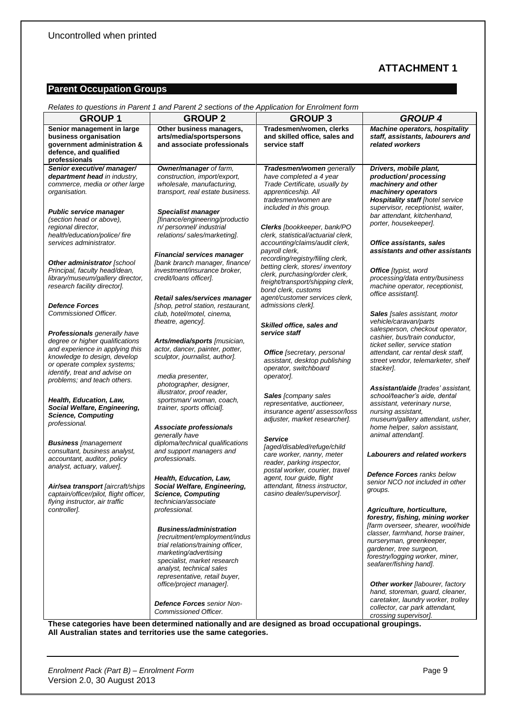## **ATTACHMENT 1**

## **Parent Occupation Groups**

| <b>GROUP1</b>                                                                                                                                                                                             | Relates to questions in Parent 1 and Parent 2 sections of the Application for Enrolment form<br><b>GROUP 2</b>                                                                                                                                                         | <b>GROUP 3</b>                                                                                                                                           | <b>GROUP 4</b>                                                                                                                                                                                                                                                                                    |
|-----------------------------------------------------------------------------------------------------------------------------------------------------------------------------------------------------------|------------------------------------------------------------------------------------------------------------------------------------------------------------------------------------------------------------------------------------------------------------------------|----------------------------------------------------------------------------------------------------------------------------------------------------------|---------------------------------------------------------------------------------------------------------------------------------------------------------------------------------------------------------------------------------------------------------------------------------------------------|
|                                                                                                                                                                                                           | Other business managers,                                                                                                                                                                                                                                               | Tradesmen/women, clerks                                                                                                                                  | <b>Machine operators, hospitality</b>                                                                                                                                                                                                                                                             |
| Senior management in large<br>business organisation<br>government administration &<br>defence, and qualified<br>professionals                                                                             | arts/media/sportspersons<br>and associate professionals                                                                                                                                                                                                                | and skilled office, sales and<br>service staff                                                                                                           | staff, assistants, labourers and<br>related workers                                                                                                                                                                                                                                               |
| Senior executive/manager/                                                                                                                                                                                 | Owner/manager of farm,                                                                                                                                                                                                                                                 | Tradesmen/women generally                                                                                                                                | Drivers, mobile plant,                                                                                                                                                                                                                                                                            |
| department head in industry,<br>commerce, media or other large<br>organisation.                                                                                                                           | construction, import/export,<br>wholesale, manufacturing,<br>transport, real estate business.                                                                                                                                                                          | have completed a 4 year<br>Trade Certificate, usually by<br>apprenticeship. All<br>tradesmen/women are<br>included in this group.                        | production/processing<br>machinery and other<br>machinery operators<br><b>Hospitality staff [hotel service</b><br>supervisor, receptionist, waiter,                                                                                                                                               |
| Public service manager<br>(section head or above),<br>regional director,<br>health/education/police/ fire                                                                                                 | <b>Specialist manager</b><br>[finance/engineering/productio<br>n/ personnel/ industrial<br>relations/sales/marketing].                                                                                                                                                 | Clerks [bookkeeper, bank/PO<br>clerk, statistical/actuarial clerk,                                                                                       | bar attendant, kitchenhand,<br>porter, housekeeper].                                                                                                                                                                                                                                              |
| services administrator.                                                                                                                                                                                   | <b>Financial services manager</b>                                                                                                                                                                                                                                      | accounting/claims/audit clerk,<br>payroll clerk,<br>recording/registry/filing clerk,                                                                     | Office assistants, sales<br>assistants and other assistants                                                                                                                                                                                                                                       |
| Other administrator [school<br>Principal, faculty head/dean,<br>library/museum/gallery director,<br>research facility director].                                                                          | [bank branch manager, finance/<br>investment/insurance broker,<br>credit/loans officer].                                                                                                                                                                               | betting clerk, stores/inventory<br>clerk, purchasing/order clerk,<br>freight/transport/shipping clerk,<br>bond clerk, customs                            | <b>Office</b> [typist, word<br>processing/data entry/business<br>machine operator, receptionist,<br>office assistant].                                                                                                                                                                            |
| <b>Defence Forces</b><br>Commissioned Officer.                                                                                                                                                            | Retail sales/services manager<br>[shop, petrol station, restaurant,<br>club, hotel/motel, cinema,                                                                                                                                                                      | agent/customer services clerk.<br>admissions clerk].                                                                                                     | Sales [sales assistant, motor                                                                                                                                                                                                                                                                     |
| <b>Professionals</b> generally have<br>degree or higher qualifications<br>and experience in applying this<br>knowledge to design, develop<br>or operate complex systems;<br>identify, treat and advise on | theatre, agency].<br>Arts/media/sports [musician,<br>actor, dancer, painter, potter,<br>sculptor, journalist, author].<br>media presenter,                                                                                                                             | Skilled office, sales and<br>service staff<br><b>Office</b> [secretary, personal<br>assistant, desktop publishing<br>operator, switchboard<br>operator]. | vehicle/caravan/parts<br>salesperson, checkout operator,<br>cashier, bus/train conductor,<br>ticket seller, service station<br>attendant, car rental desk staff,<br>street vendor, telemarketer, shelf<br>stacker].                                                                               |
| problems; and teach others.<br>Health, Education, Law,<br>Social Welfare, Engineering,<br><b>Science, Computing</b><br>professional.                                                                      | photographer, designer,<br>illustrator, proof reader,<br>sportsman/woman, coach,<br>trainer, sports official].<br>Associate professionals<br>generally have                                                                                                            | Sales [company sales<br>representative, auctioneer,<br>insurance agent/assessor/loss<br>adjuster, market researcher].                                    | Assistant/aide [trades' assistant,<br>school/teacher's aide, dental<br>assistant, veterinary nurse,<br>nursing assistant,<br>museum/gallery attendant, usher,<br>home helper, salon assistant,<br>animal attendant].                                                                              |
| <b>Business</b> [management<br>consultant, business analyst,<br>accountant, auditor, policy<br>analyst, actuary, valuer].                                                                                 | diploma/technical qualifications<br>and support managers and<br>professionals.                                                                                                                                                                                         | <b>Service</b><br>[aged/disabled/refuge/child<br>care worker, nanny, meter<br>reader, parking inspector,<br>postal worker, courier, travel               | <b>Labourers and related workers</b>                                                                                                                                                                                                                                                              |
| Air/sea transport [aircraft/ships<br>captain/officer/pilot, flight officer,<br>flying instructor, air traffic                                                                                             | Health, Education, Law,<br>Social Welfare, Engineering,<br><b>Science, Computing</b><br>technician/associate                                                                                                                                                           | agent, tour guide, flight<br>attendant, fitness instructor,<br>casino dealer/supervisor].                                                                | <b>Defence Forces ranks below</b><br>senior NCO not included in other<br>groups.                                                                                                                                                                                                                  |
| controller].                                                                                                                                                                                              | professional.<br><b>Business/administration</b><br>[recruitment/employment/indus<br>trial relations/training officer,<br>marketing/advertising<br>specialist, market research<br>analyst, technical sales<br>representative, retail buyer,<br>office/project manager]. |                                                                                                                                                          | Agriculture, horticulture,<br>forestry, fishing, mining worker<br>[farm overseer, shearer, wool/hide<br>classer, farmhand, horse trainer,<br>nurseryman, greenkeeper,<br>gardener, tree surgeon,<br>forestry/logging worker, miner,<br>seafarer/fishing hand].<br>Other worker [labourer, factory |
|                                                                                                                                                                                                           | <b>Defence Forces</b> senior Non-<br>Commissioned Officer.<br>estegeries hous been determined notionally and are designed as broad                                                                                                                                     |                                                                                                                                                          | hand, storeman, guard, cleaner,<br>caretaker, laundry worker, trolley<br>collector, car park attendant,<br>crossing supervisor].<br>بمماجينه ومعالم وعالمونيما                                                                                                                                    |

*Relates to questions in Parent 1 and Parent 2 sections of the Application for Enrolment form*

**These categories have been determined nationally and are designed as broad occupational groupings. All Australian states and territories use the same categories.**